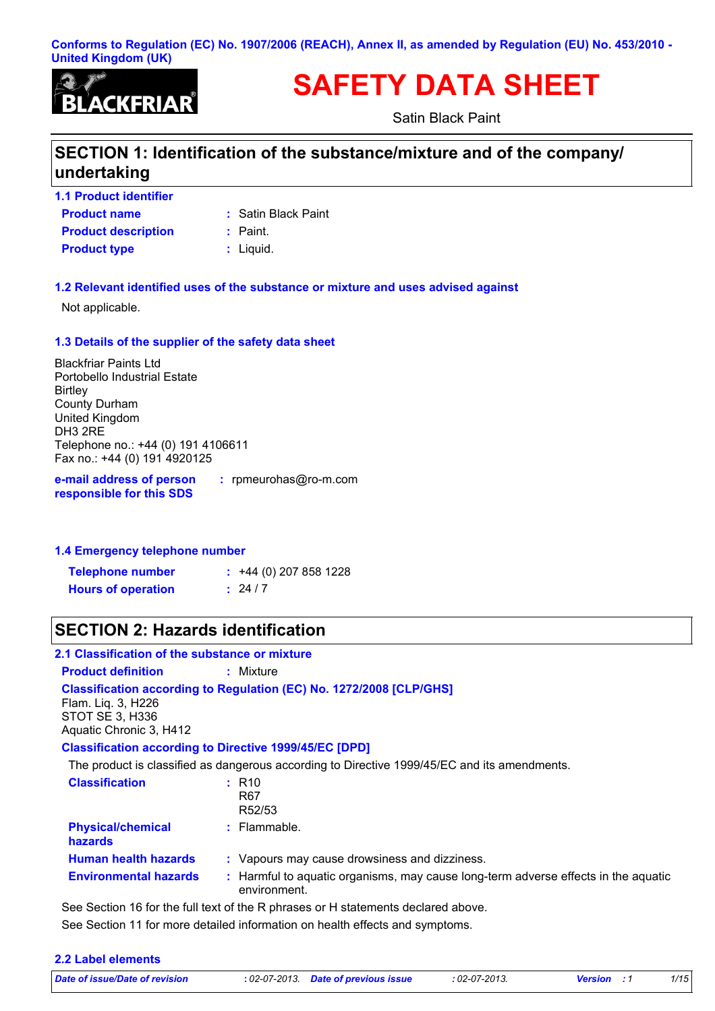#### **Conforms to Regulation (EC) No. 1907/2006 (REACH), Annex II, as amended by Regulation (EU) No. 453/2010 - United Kingdom (UK)**



# **SAFETY DATA SHEET**

Satin Black Paint

## **SECTION 1: Identification of the substance/mixture and of the company/ undertaking**

**Product name 1.1 Product identifier Product type**  $\qquad$ **: Liquid. Product description :** Paint.

**:** Satin Black Paint

#### **1.2 Relevant identified uses of the substance or mixture and uses advised against**

Not applicable.

#### **1.3 Details of the supplier of the safety data sheet**

Blackfriar Paints Ltd Portobello Industrial Estate **Birtley** County Durham United Kingdom DH3 2RE Telephone no.: +44 (0) 191 4106611 Fax no.: +44 (0) 191 4920125

**e-mail address of person responsible for this SDS**

**:** rpmeurohas@ro-m.com

#### **1.4 Emergency telephone number**

| <b>Telephone number</b>   | $\div$ +44 (0) 207 858 1228 |
|---------------------------|-----------------------------|
| <b>Hours of operation</b> | : 24/7                      |

### **SECTION 2: Hazards identification**

#### **2.1 Classification of the substance or mixture**

**Product definition :** Mixture

**Classification according to Regulation (EC) No. 1272/2008 [CLP/GHS]** Flam. Liq. 3, H226

STOT SE 3, H336 Aquatic Chronic 3, H412

#### **Classification according to Directive 1999/45/EC [DPD]**

The product is classified as dangerous according to Directive 1999/45/EC and its amendments.

| <b>Classification</b>               | $:$ R <sub>10</sub><br>R <sub>67</sub><br>R52/53                                                   |
|-------------------------------------|----------------------------------------------------------------------------------------------------|
| <b>Physical/chemical</b><br>hazards | $:$ Flammable.                                                                                     |
| <b>Human health hazards</b>         | : Vapours may cause drowsiness and dizziness.                                                      |
| <b>Environmental hazards</b>        | : Harmful to aquatic organisms, may cause long-term adverse effects in the aquatic<br>environment. |

See Section 11 for more detailed information on health effects and symptoms. See Section 16 for the full text of the R phrases or H statements declared above.

| 2.2 Label elements             |                                      |                 |                    |      |
|--------------------------------|--------------------------------------|-----------------|--------------------|------|
| Date of issue/Date of revision | : 02-07-2013. Date of previous issue | $:02$ -07-2013. | <b>Version</b> : 1 | 1/15 |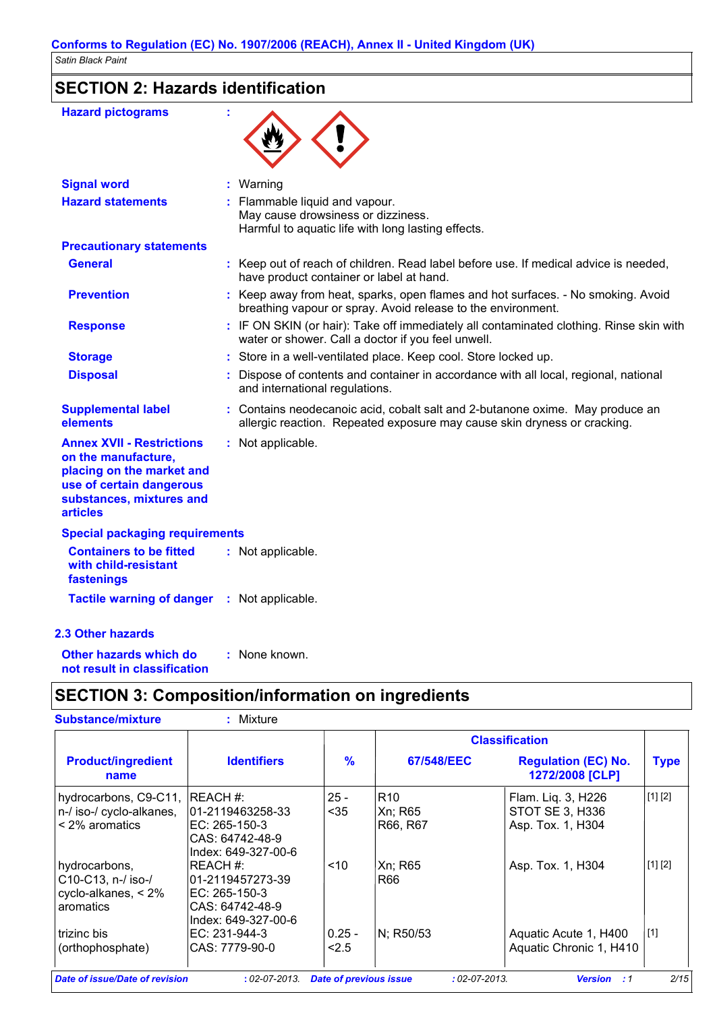## **SECTION 2: Hazards identification**

| <b>Hazard pictograms</b>                                                                                                                                        |                                                                                                                                                           |
|-----------------------------------------------------------------------------------------------------------------------------------------------------------------|-----------------------------------------------------------------------------------------------------------------------------------------------------------|
| <b>Signal word</b>                                                                                                                                              | : Warning                                                                                                                                                 |
| <b>Hazard statements</b>                                                                                                                                        | Flammable liquid and vapour.<br>May cause drowsiness or dizziness.<br>Harmful to aquatic life with long lasting effects.                                  |
| <b>Precautionary statements</b>                                                                                                                                 |                                                                                                                                                           |
| General                                                                                                                                                         | : Keep out of reach of children. Read label before use. If medical advice is needed,<br>have product container or label at hand.                          |
| <b>Prevention</b>                                                                                                                                               | : Keep away from heat, sparks, open flames and hot surfaces. - No smoking. Avoid<br>breathing vapour or spray. Avoid release to the environment.          |
| <b>Response</b>                                                                                                                                                 | : IF ON SKIN (or hair): Take off immediately all contaminated clothing. Rinse skin with<br>water or shower. Call a doctor if you feel unwell.             |
| <b>Storage</b>                                                                                                                                                  | : Store in a well-ventilated place. Keep cool. Store locked up.                                                                                           |
| <b>Disposal</b>                                                                                                                                                 | Dispose of contents and container in accordance with all local, regional, national<br>and international regulations.                                      |
| <b>Supplemental label</b><br>elements                                                                                                                           | : Contains neodecanoic acid, cobalt salt and 2-butanone oxime. May produce an<br>allergic reaction. Repeated exposure may cause skin dryness or cracking. |
| <b>Annex XVII - Restrictions</b><br>on the manufacture,<br>placing on the market and<br>use of certain dangerous<br>substances, mixtures and<br><b>articles</b> | : Not applicable.                                                                                                                                         |
| <b>Special packaging requirements</b>                                                                                                                           |                                                                                                                                                           |
| <b>Containers to be fitted</b><br>with child-resistant<br>fastenings                                                                                            | : Not applicable.                                                                                                                                         |
| Tactile warning of danger : Not applicable.                                                                                                                     |                                                                                                                                                           |
| <b>2.3 Other hazards</b>                                                                                                                                        |                                                                                                                                                           |
| Other hazards which do<br>not result in classification                                                                                                          | : None known.                                                                                                                                             |

## **SECTION 3: Composition/information on ingredients**

|                                                                                   |                                                                                              |                   |                                        | <b>Classification</b>                                      |             |
|-----------------------------------------------------------------------------------|----------------------------------------------------------------------------------------------|-------------------|----------------------------------------|------------------------------------------------------------|-------------|
| <b>Product/ingredient</b><br>name                                                 | <b>Identifiers</b>                                                                           | $\frac{9}{6}$     | 67/548/EEC                             | <b>Regulation (EC) No.</b><br>1272/2008 [CLP]              | <b>Type</b> |
| hydrocarbons, C9-C11, REACH #:<br>n-/ iso-/ cyclo-alkanes,<br>$\leq$ 2% aromatics | 101-2119463258-33<br>IEC: 265-150-3<br>ICAS: 64742-48-9<br>Index: 649-327-00-6               | $25 -$<br>$35$    | R <sub>10</sub><br>Xn; R65<br>R66, R67 | Flam. Liq. 3, H226<br>STOT SE 3, H336<br>Asp. Tox. 1, H304 | [1] [2]     |
| hydrocarbons,<br>C10-C13, n-/ iso-/<br>cyclo-alkanes, $< 2\%$<br>aromatics        | IREACH #:<br>101-2119457273-39<br>IEC: 265-150-3<br>ICAS: 64742-48-9<br>lIndex: 649-327-00-6 | ~10               | Xn; R65<br>R66                         | Asp. Tox. 1, H304                                          | [1] [2]     |
| l trizinc bis<br>(orthophosphate)                                                 | IEC: 231-944-3<br>CAS: 7779-90-0                                                             | $0.25 -$<br>< 2.5 | N; R50/53                              | Aquatic Acute 1, H400<br>Aquatic Chronic 1, H410           | [1]         |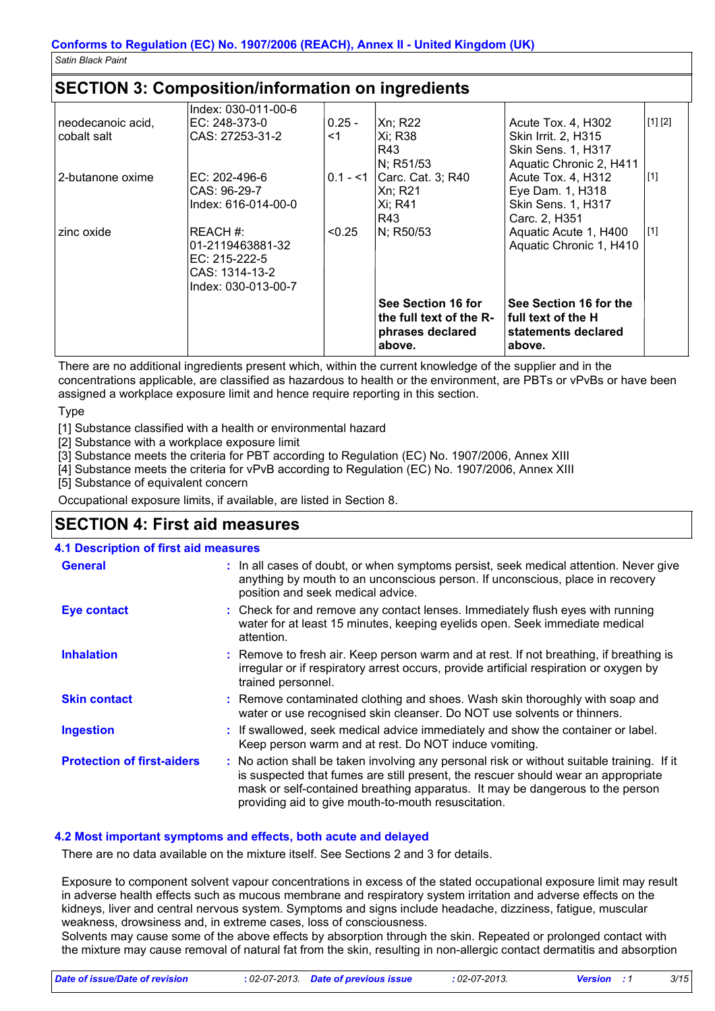### **SECTION 3: Composition/information on ingredients**

| neodecanoic acid,<br>cobalt salt | EC: 248-373-0<br> CAS: 27253-31-2                                                          | 0.25 -<br>$<$ 1 | Xn; R22<br> Xi: R38<br>R43                                                     | Acute Tox. 4, H302<br>Skin Irrit. 2, H315<br><b>Skin Sens. 1, H317</b>                                   | [1] [2]     |
|----------------------------------|--------------------------------------------------------------------------------------------|-----------------|--------------------------------------------------------------------------------|----------------------------------------------------------------------------------------------------------|-------------|
| 2-butanone oxime                 | IEC: 202-496-6<br>CAS: 96-29-7<br>Index: 616-014-00-0                                      |                 | N; R51/53<br>$0.1 - 1$ Carc. Cat. 3; R40<br> Xn: R21<br><b>Xi</b> ; R41<br>R43 | Aquatic Chronic 2, H411<br>Acute Tox. 4, H312<br>Eye Dam. 1, H318<br>Skin Sens. 1, H317<br>Carc. 2, H351 | $\vert$ [1] |
| zinc oxide                       | IREACH #:<br>01-2119463881-32<br>IEC: 215-222-5<br> CAS: 1314-13-2<br>lIndex: 030-013-00-7 | < 0.25          | N; R50/53                                                                      | Aquatic Acute 1, H400<br>Aquatic Chronic 1, H410                                                         | $\vert$ [1] |
|                                  |                                                                                            |                 | See Section 16 for<br>the full text of the R-<br>phrases declared<br>above.    | See Section 16 for the<br>l full text of the H<br>statements declared<br>above.                          |             |

There are no additional ingredients present which, within the current knowledge of the supplier and in the concentrations applicable, are classified as hazardous to health or the environment, are PBTs or vPvBs or have been assigned a workplace exposure limit and hence require reporting in this section.

Type

[1] Substance classified with a health or environmental hazard

[2] Substance with a workplace exposure limit

[3] Substance meets the criteria for PBT according to Regulation (EC) No. 1907/2006, Annex XIII

[4] Substance meets the criteria for vPvB according to Regulation (EC) No. 1907/2006, Annex XIII

[5] Substance of equivalent concern

Occupational exposure limits, if available, are listed in Section 8.

### **SECTION 4: First aid measures**

#### **:** If swallowed, seek medical advice immediately and show the container or label. Keep person warm and at rest. Do NOT induce vomiting. Check for and remove any contact lenses. Immediately flush eyes with running **:** water for at least 15 minutes, keeping eyelids open. Seek immediate medical attention. Remove contaminated clothing and shoes. Wash skin thoroughly with soap and **:** water or use recognised skin cleanser. Do NOT use solvents or thinners. **:** Remove to fresh air. Keep person warm and at rest. If not breathing, if breathing is irregular or if respiratory arrest occurs, provide artificial respiration or oxygen by trained personnel. General **In all cases of doubt, or when symptoms persist, seek medical attention. Never give <b>General** anything by mouth to an unconscious person. If unconscious, place in recovery position and seek medical advice. **Skin contact 4.1 Description of first aid measures Ingestion Inhalation Eye contact Protection of first-aiders :** No action shall be taken involving any personal risk or without suitable training. If it is suspected that fumes are still present, the rescuer should wear an appropriate mask or self-contained breathing apparatus. It may be dangerous to the person providing aid to give mouth-to-mouth resuscitation.

#### **4.2 Most important symptoms and effects, both acute and delayed**

There are no data available on the mixture itself. See Sections 2 and 3 for details.

Exposure to component solvent vapour concentrations in excess of the stated occupational exposure limit may result in adverse health effects such as mucous membrane and respiratory system irritation and adverse effects on the kidneys, liver and central nervous system. Symptoms and signs include headache, dizziness, fatigue, muscular weakness, drowsiness and, in extreme cases, loss of consciousness.

Solvents may cause some of the above effects by absorption through the skin. Repeated or prolonged contact with the mixture may cause removal of natural fat from the skin, resulting in non-allergic contact dermatitis and absorption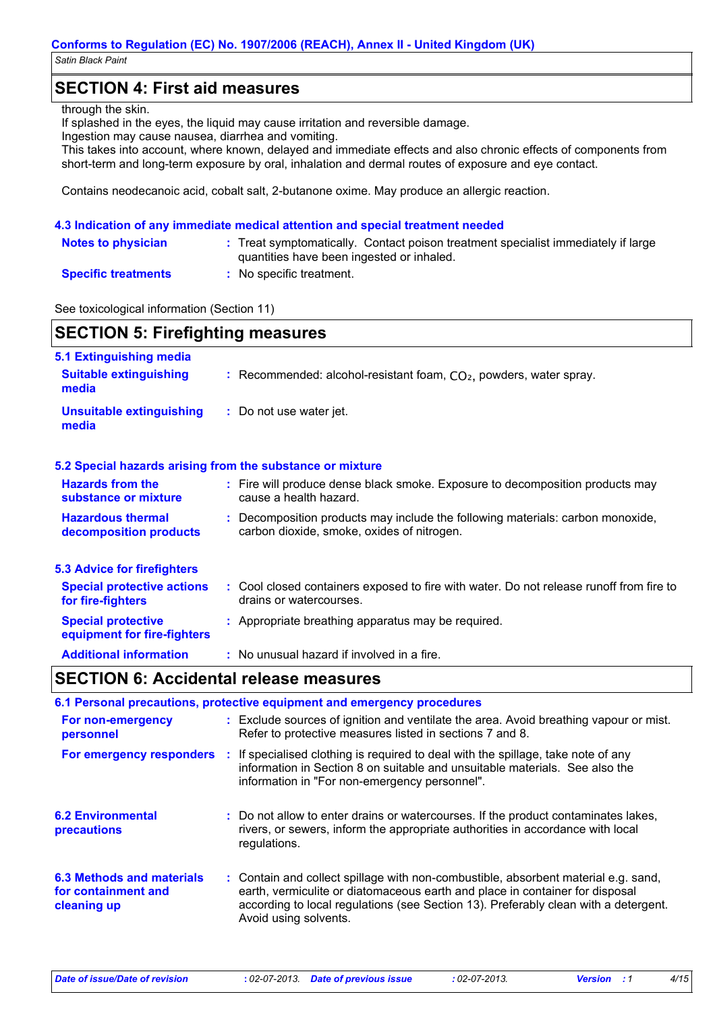### **SECTION 4: First aid measures**

#### through the skin.

If splashed in the eyes, the liquid may cause irritation and reversible damage.

Ingestion may cause nausea, diarrhea and vomiting.

This takes into account, where known, delayed and immediate effects and also chronic effects of components from short-term and long-term exposure by oral, inhalation and dermal routes of exposure and eye contact.

Contains neodecanoic acid, cobalt salt, 2-butanone oxime. May produce an allergic reaction.

#### **4.3 Indication of any immediate medical attention and special treatment needed**

| <b>Notes to physician</b>  | : Treat symptomatically. Contact poison treatment specialist immediately if large<br>quantities have been ingested or inhaled. |
|----------------------------|--------------------------------------------------------------------------------------------------------------------------------|
| <b>Specific treatments</b> | No specific treatment.                                                                                                         |

See toxicological information (Section 11)

| 5.1 Extinguishing media                  |                                                                                |
|------------------------------------------|--------------------------------------------------------------------------------|
| <b>Suitable extinguishing</b><br>media   | : Recommended: alcohol-resistant foam, $CO2$ , powders, water spray.           |
| <b>Unsuitable extinguishing</b><br>media | : Do not use water jet.                                                        |
|                                          | 5.2 Special hazards arising from the substance or mixture                      |
| Hayarda fram tha                         | . Fire will produce dense block emplie. Evacure to decomposition producto move |

| <b>Hazards from the</b><br>substance or mixture          | t. | Fire will produce dense black smoke. Exposure to decomposition products may<br>cause a health hazard.                      |
|----------------------------------------------------------|----|----------------------------------------------------------------------------------------------------------------------------|
| <b>Hazardous thermal</b><br>decomposition products       |    | Decomposition products may include the following materials: carbon monoxide,<br>carbon dioxide, smoke, oxides of nitrogen. |
| <b>5.3 Advice for firefighters</b>                       |    |                                                                                                                            |
| <b>Special protective actions</b><br>for fire-fighters   |    | : Cool closed containers exposed to fire with water. Do not release runoff from fire to<br>drains or watercourses.         |
| <b>Special protective</b><br>equipment for fire-fighters |    | Appropriate breathing apparatus may be required.                                                                           |
| <b>Additional information</b>                            |    | : No unusual hazard if involved in a fire.                                                                                 |

## **SECTION 6: Accidental release measures**

|                                                                        | 6.1 Personal precautions, protective equipment and emergency procedures                                                                                                                                                                                                            |
|------------------------------------------------------------------------|------------------------------------------------------------------------------------------------------------------------------------------------------------------------------------------------------------------------------------------------------------------------------------|
| For non-emergency<br>personnel                                         | : Exclude sources of ignition and ventilate the area. Avoid breathing vapour or mist.<br>Refer to protective measures listed in sections 7 and 8.                                                                                                                                  |
|                                                                        | <b>For emergency responders</b> : If specialised clothing is required to deal with the spillage, take note of any<br>information in Section 8 on suitable and unsuitable materials. See also the<br>information in "For non-emergency personnel".                                  |
| <b>6.2 Environmental</b><br><b>precautions</b>                         | : Do not allow to enter drains or watercourses. If the product contaminates lakes,<br>rivers, or sewers, inform the appropriate authorities in accordance with local<br>regulations.                                                                                               |
| <b>6.3 Methods and materials</b><br>for containment and<br>cleaning up | : Contain and collect spillage with non-combustible, absorbent material e.g. sand,<br>earth, vermiculite or diatomaceous earth and place in container for disposal<br>according to local regulations (see Section 13). Preferably clean with a detergent.<br>Avoid using solvents. |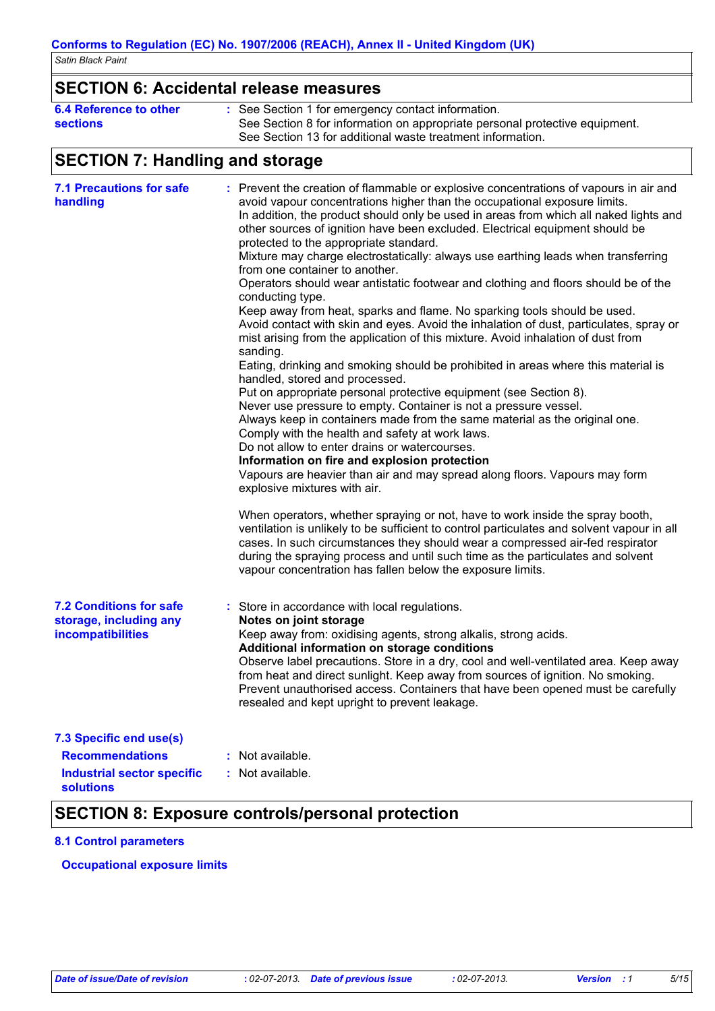## **SECTION 6: Accidental release measures**

| 6.4 Reference to other | See Section 1 for emergency contact information.                            |
|------------------------|-----------------------------------------------------------------------------|
| <b>sections</b>        | See Section 8 for information on appropriate personal protective equipment. |
|                        | See Section 13 for additional waste treatment information.                  |

## **SECTION 7: Handling and storage**

| <b>7.1 Precautions for safe</b><br>handling                                   | : Prevent the creation of flammable or explosive concentrations of vapours in air and<br>avoid vapour concentrations higher than the occupational exposure limits.<br>In addition, the product should only be used in areas from which all naked lights and<br>other sources of ignition have been excluded. Electrical equipment should be<br>protected to the appropriate standard.<br>Mixture may charge electrostatically: always use earthing leads when transferring<br>from one container to another.<br>Operators should wear antistatic footwear and clothing and floors should be of the<br>conducting type.<br>Keep away from heat, sparks and flame. No sparking tools should be used.<br>Avoid contact with skin and eyes. Avoid the inhalation of dust, particulates, spray or<br>mist arising from the application of this mixture. Avoid inhalation of dust from<br>sanding.<br>Eating, drinking and smoking should be prohibited in areas where this material is<br>handled, stored and processed.<br>Put on appropriate personal protective equipment (see Section 8).<br>Never use pressure to empty. Container is not a pressure vessel.<br>Always keep in containers made from the same material as the original one.<br>Comply with the health and safety at work laws.<br>Do not allow to enter drains or watercourses.<br>Information on fire and explosion protection<br>Vapours are heavier than air and may spread along floors. Vapours may form<br>explosive mixtures with air.<br>When operators, whether spraying or not, have to work inside the spray booth, |
|-------------------------------------------------------------------------------|-----------------------------------------------------------------------------------------------------------------------------------------------------------------------------------------------------------------------------------------------------------------------------------------------------------------------------------------------------------------------------------------------------------------------------------------------------------------------------------------------------------------------------------------------------------------------------------------------------------------------------------------------------------------------------------------------------------------------------------------------------------------------------------------------------------------------------------------------------------------------------------------------------------------------------------------------------------------------------------------------------------------------------------------------------------------------------------------------------------------------------------------------------------------------------------------------------------------------------------------------------------------------------------------------------------------------------------------------------------------------------------------------------------------------------------------------------------------------------------------------------------------------------------------------------------------------------------------------|
|                                                                               | ventilation is unlikely to be sufficient to control particulates and solvent vapour in all<br>cases. In such circumstances they should wear a compressed air-fed respirator<br>during the spraying process and until such time as the particulates and solvent<br>vapour concentration has fallen below the exposure limits.                                                                                                                                                                                                                                                                                                                                                                                                                                                                                                                                                                                                                                                                                                                                                                                                                                                                                                                                                                                                                                                                                                                                                                                                                                                                  |
| <b>7.2 Conditions for safe</b><br>storage, including any<br>incompatibilities | : Store in accordance with local regulations.<br>Notes on joint storage<br>Keep away from: oxidising agents, strong alkalis, strong acids.<br>Additional information on storage conditions<br>Observe label precautions. Store in a dry, cool and well-ventilated area. Keep away<br>from heat and direct sunlight. Keep away from sources of ignition. No smoking.<br>Prevent unauthorised access. Containers that have been opened must be carefully<br>resealed and kept upright to prevent leakage.                                                                                                                                                                                                                                                                                                                                                                                                                                                                                                                                                                                                                                                                                                                                                                                                                                                                                                                                                                                                                                                                                       |
| 7.3 Specific end use(s)                                                       |                                                                                                                                                                                                                                                                                                                                                                                                                                                                                                                                                                                                                                                                                                                                                                                                                                                                                                                                                                                                                                                                                                                                                                                                                                                                                                                                                                                                                                                                                                                                                                                               |
| <b>Recommendations</b>                                                        | : Not available.                                                                                                                                                                                                                                                                                                                                                                                                                                                                                                                                                                                                                                                                                                                                                                                                                                                                                                                                                                                                                                                                                                                                                                                                                                                                                                                                                                                                                                                                                                                                                                              |
| <b>Industrial sector specific</b><br>solutions                                | : Not available.                                                                                                                                                                                                                                                                                                                                                                                                                                                                                                                                                                                                                                                                                                                                                                                                                                                                                                                                                                                                                                                                                                                                                                                                                                                                                                                                                                                                                                                                                                                                                                              |

### **SECTION 8: Exposure controls/personal protection**

#### **8.1 Control parameters**

#### **Occupational exposure limits**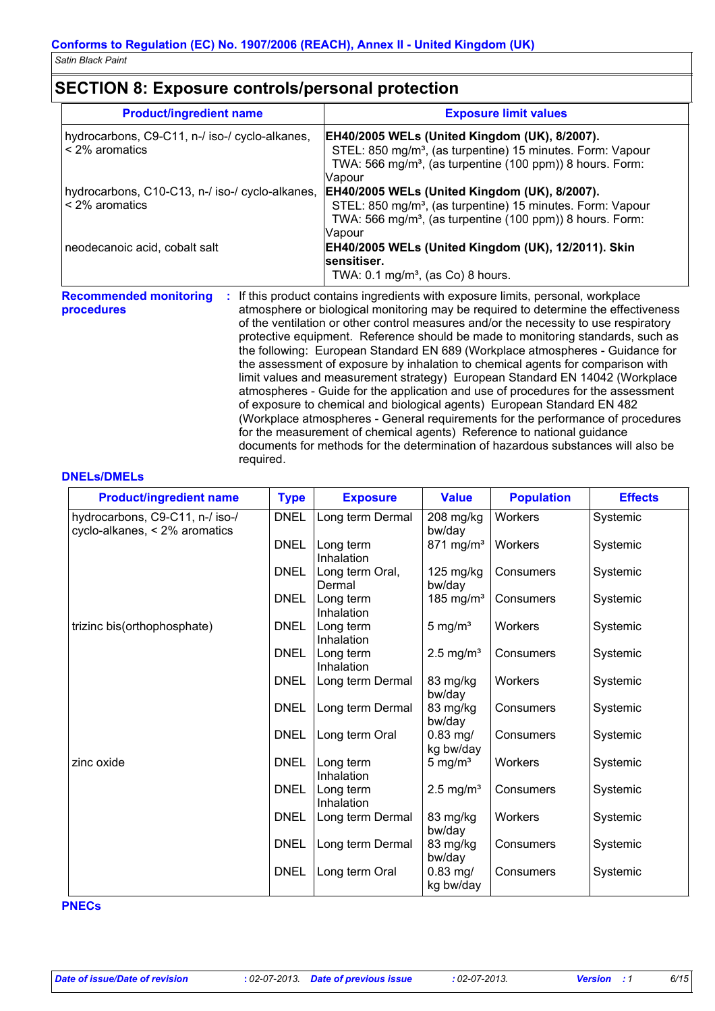## **SECTION 8: Exposure controls/personal protection**

| <b>Product/ingredient name</b>                                    | <b>Exposure limit values</b>                                                                                                                                                                                                                                                                                                                                                                                                                                                                                                                                                                                                                                                                                                                                                                                                                                                                                                                                                                                        |
|-------------------------------------------------------------------|---------------------------------------------------------------------------------------------------------------------------------------------------------------------------------------------------------------------------------------------------------------------------------------------------------------------------------------------------------------------------------------------------------------------------------------------------------------------------------------------------------------------------------------------------------------------------------------------------------------------------------------------------------------------------------------------------------------------------------------------------------------------------------------------------------------------------------------------------------------------------------------------------------------------------------------------------------------------------------------------------------------------|
| hydrocarbons, C9-C11, n-/ iso-/ cyclo-alkanes,<br>< 2% aromatics  | EH40/2005 WELs (United Kingdom (UK), 8/2007).<br>STEL: 850 mg/m <sup>3</sup> , (as turpentine) 15 minutes. Form: Vapour<br>TWA: 566 mg/m <sup>3</sup> , (as turpentine (100 ppm)) 8 hours. Form:                                                                                                                                                                                                                                                                                                                                                                                                                                                                                                                                                                                                                                                                                                                                                                                                                    |
| hydrocarbons, C10-C13, n-/ iso-/ cyclo-alkanes,<br>< 2% aromatics | Vapour<br>EH40/2005 WELs (United Kingdom (UK), 8/2007).<br>STEL: 850 mg/m <sup>3</sup> , (as turpentine) 15 minutes. Form: Vapour<br>TWA: 566 mg/m <sup>3</sup> , (as turpentine (100 ppm)) 8 hours. Form:<br>Vapour                                                                                                                                                                                                                                                                                                                                                                                                                                                                                                                                                                                                                                                                                                                                                                                                |
| neodecanoic acid, cobalt salt                                     | EH40/2005 WELs (United Kingdom (UK), 12/2011). Skin<br>sensitiser.<br>TWA: $0.1 \text{ mg/m}^3$ , (as Co) 8 hours.                                                                                                                                                                                                                                                                                                                                                                                                                                                                                                                                                                                                                                                                                                                                                                                                                                                                                                  |
| <b>Recommended monitoring</b><br>procedures<br>required.          | If this product contains ingredients with exposure limits, personal, workplace<br>atmosphere or biological monitoring may be required to determine the effectiveness<br>of the ventilation or other control measures and/or the necessity to use respiratory<br>protective equipment. Reference should be made to monitoring standards, such as<br>the following: European Standard EN 689 (Workplace atmospheres - Guidance for<br>the assessment of exposure by inhalation to chemical agents for comparison with<br>limit values and measurement strategy) European Standard EN 14042 (Workplace<br>atmospheres - Guide for the application and use of procedures for the assessment<br>of exposure to chemical and biological agents) European Standard EN 482<br>(Workplace atmospheres - General requirements for the performance of procedures<br>for the measurement of chemical agents) Reference to national guidance<br>documents for methods for the determination of hazardous substances will also be |

#### **DNELs/DMELs**

| <b>Product/ingredient name</b>                                   | <b>Type</b> | <b>Exposure</b>           | <b>Value</b>            | <b>Population</b> | <b>Effects</b> |
|------------------------------------------------------------------|-------------|---------------------------|-------------------------|-------------------|----------------|
| hydrocarbons, C9-C11, n-/ iso-/<br>cyclo-alkanes, < 2% aromatics | <b>DNEL</b> | Long term Dermal          | 208 mg/kg<br>bw/day     | Workers           | Systemic       |
|                                                                  | <b>DNEL</b> | Long term<br>Inhalation   | 871 mg/m <sup>3</sup>   | Workers           | Systemic       |
|                                                                  | <b>DNEL</b> | Long term Oral,<br>Dermal | 125 mg/kg<br>bw/day     | Consumers         | Systemic       |
|                                                                  | <b>DNEL</b> | Long term<br>Inhalation   | 185 mg/m <sup>3</sup>   | Consumers         | Systemic       |
| trizinc bis(orthophosphate)                                      | <b>DNEL</b> | Long term<br>Inhalation   | 5 mg/ $m3$              | Workers           | Systemic       |
|                                                                  | <b>DNEL</b> | Long term<br>Inhalation   | $2.5 \text{ mg/m}^3$    | Consumers         | Systemic       |
|                                                                  | <b>DNEL</b> | Long term Dermal          | 83 mg/kg<br>bw/day      | <b>Workers</b>    | Systemic       |
|                                                                  | <b>DNEL</b> | Long term Dermal          | 83 mg/kg<br>bw/day      | Consumers         | Systemic       |
|                                                                  | <b>DNEL</b> | Long term Oral            | $0.83$ mg/<br>kg bw/day | Consumers         | Systemic       |
| zinc oxide                                                       | <b>DNEL</b> | Long term<br>Inhalation   | 5 mg/ $m3$              | Workers           | Systemic       |
|                                                                  | <b>DNEL</b> | Long term<br>Inhalation   | $2.5 \text{ mg/m}^3$    | Consumers         | Systemic       |
|                                                                  | <b>DNEL</b> | Long term Dermal          | 83 mg/kg<br>bw/day      | Workers           | Systemic       |
|                                                                  | <b>DNEL</b> | Long term Dermal          | 83 mg/kg<br>bw/day      | Consumers         | Systemic       |
|                                                                  | <b>DNEL</b> | Long term Oral            | $0.83$ mg/<br>kg bw/day | Consumers         | Systemic       |

**PNECs**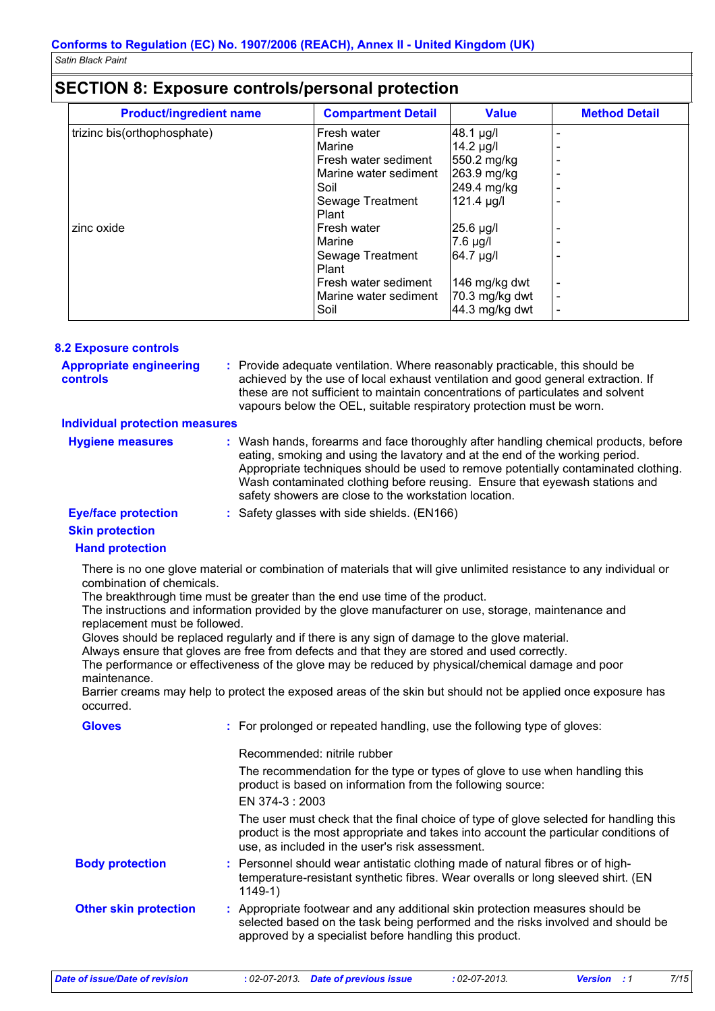|  | <b>SECTION 8: Exposure controls/personal protection</b> |  |  |
|--|---------------------------------------------------------|--|--|
|--|---------------------------------------------------------|--|--|

| <b>Product/ingredient name</b> | <b>Compartment Detail</b> | <b>Value</b>    | <b>Method Detail</b> |
|--------------------------------|---------------------------|-----------------|----------------------|
| trizinc bis(orthophosphate)    | Fresh water               | 48.1 µg/l       |                      |
|                                | Marine                    | 14.2 µg/l       |                      |
|                                | Fresh water sediment      | 550.2 mg/kg     |                      |
|                                | Marine water sediment     | 263.9 mg/kg     |                      |
|                                | Soil                      | 249.4 mg/kg     |                      |
|                                | Sewage Treatment          | $121.4 \mu g/l$ |                      |
|                                | Plant                     |                 |                      |
| zinc oxide                     | Fresh water               | 25.6 µg/l       |                      |
|                                | Marine                    | 7.6 µg/l        |                      |
|                                | Sewage Treatment          | 64.7 µg/l       |                      |
|                                | Plant                     |                 |                      |
|                                | Fresh water sediment      | 146 mg/kg dwt   |                      |
|                                | Marine water sediment     | 70.3 mg/kg dwt  |                      |
|                                | Soil                      | 44.3 mg/kg dwt  |                      |

| <b>8.2 Exposure controls</b> |
|------------------------------|
|------------------------------|

| <b>Appropriate engineering</b><br>controls | : Provide adequate ventilation. Where reasonably practicable, this should be<br>achieved by the use of local exhaust ventilation and good general extraction. If<br>these are not sufficient to maintain concentrations of particulates and solvent<br>vapours below the OEL, suitable respiratory protection must be worn. |
|--------------------------------------------|-----------------------------------------------------------------------------------------------------------------------------------------------------------------------------------------------------------------------------------------------------------------------------------------------------------------------------|
|                                            |                                                                                                                                                                                                                                                                                                                             |

#### **Individual protection measures**

| <b>Hygiene measures</b> | Wash hands, forearms and face thoroughly after handling chemical products, before<br>eating, smoking and using the lavatory and at the end of the working period.<br>Appropriate techniques should be used to remove potentially contaminated clothing.<br>Wash contaminated clothing before reusing. Ensure that eyewash stations and |
|-------------------------|----------------------------------------------------------------------------------------------------------------------------------------------------------------------------------------------------------------------------------------------------------------------------------------------------------------------------------------|
|                         | safety showers are close to the workstation location.                                                                                                                                                                                                                                                                                  |

**Eye/face protection :**

: Safety glasses with side shields. (EN166)

#### **Skin protection**

#### **Hand protection**

There is no one glove material or combination of materials that will give unlimited resistance to any individual or combination of chemicals.

The breakthrough time must be greater than the end use time of the product.

The instructions and information provided by the glove manufacturer on use, storage, maintenance and replacement must be followed.

Gloves should be replaced regularly and if there is any sign of damage to the glove material.

Always ensure that gloves are free from defects and that they are stored and used correctly.

The performance or effectiveness of the glove may be reduced by physical/chemical damage and poor maintenance.

Barrier creams may help to protect the exposed areas of the skin but should not be applied once exposure has occurred.

| : For prolonged or repeated handling, use the following type of gloves:                                                                                                                                                         |
|---------------------------------------------------------------------------------------------------------------------------------------------------------------------------------------------------------------------------------|
| Recommended: nitrile rubber                                                                                                                                                                                                     |
| The recommendation for the type or types of glove to use when handling this<br>product is based on information from the following source:                                                                                       |
| EN 374-3 : 2003                                                                                                                                                                                                                 |
| The user must check that the final choice of type of glove selected for handling this<br>product is the most appropriate and takes into account the particular conditions of<br>use, as included in the user's risk assessment. |
| : Personnel should wear antistatic clothing made of natural fibres or of high-<br>temperature-resistant synthetic fibres. Wear overalls or long sleeved shirt. (EN<br>$1149-1)$                                                 |
| : Appropriate footwear and any additional skin protection measures should be<br>selected based on the task being performed and the risks involved and should be<br>approved by a specialist before handling this product.       |
|                                                                                                                                                                                                                                 |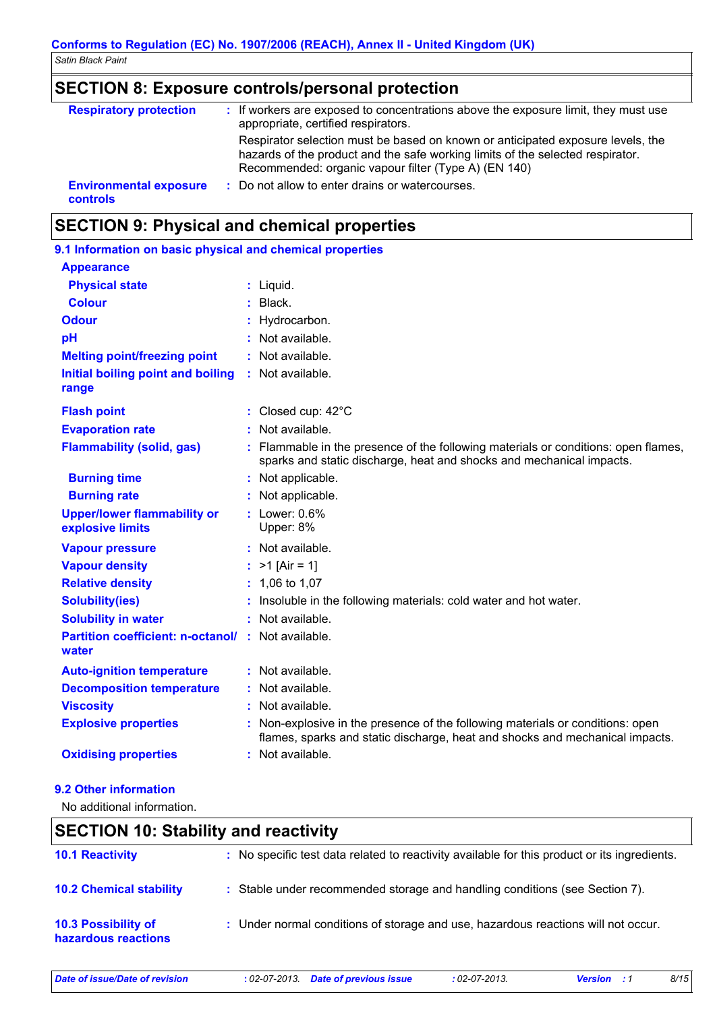## **SECTION 8: Exposure controls/personal protection**

| <b>Respiratory protection</b>                    | : If workers are exposed to concentrations above the exposure limit, they must use<br>appropriate, certified respirators.                                                                                                 |
|--------------------------------------------------|---------------------------------------------------------------------------------------------------------------------------------------------------------------------------------------------------------------------------|
|                                                  | Respirator selection must be based on known or anticipated exposure levels, the<br>hazards of the product and the safe working limits of the selected respirator.<br>Recommended: organic vapour filter (Type A) (EN 140) |
| <b>Environmental exposure</b><br><b>controls</b> | : Do not allow to enter drains or watercourses.                                                                                                                                                                           |

## **SECTION 9: Physical and chemical properties**

| 9.1 Information on basic physical and chemical properties          |                                                                                                                                                                |
|--------------------------------------------------------------------|----------------------------------------------------------------------------------------------------------------------------------------------------------------|
| <b>Appearance</b>                                                  |                                                                                                                                                                |
| <b>Physical state</b>                                              | : Liquid.                                                                                                                                                      |
| <b>Colour</b>                                                      | $:$ Black.                                                                                                                                                     |
| <b>Odour</b>                                                       | : Hydrocarbon.                                                                                                                                                 |
| pH                                                                 | : Not available.                                                                                                                                               |
| <b>Melting point/freezing point</b>                                | : Not available.                                                                                                                                               |
| Initial boiling point and boiling<br>range                         | : Not available.                                                                                                                                               |
| <b>Flash point</b>                                                 | : Closed cup: 42°C                                                                                                                                             |
| <b>Evaporation rate</b>                                            | : Not available.                                                                                                                                               |
| <b>Flammability (solid, gas)</b>                                   | : Flammable in the presence of the following materials or conditions: open flames,<br>sparks and static discharge, heat and shocks and mechanical impacts.     |
| <b>Burning time</b>                                                | : Not applicable.                                                                                                                                              |
| <b>Burning rate</b>                                                | : Not applicable.                                                                                                                                              |
| <b>Upper/lower flammability or</b><br>explosive limits             | $:$ Lower: $0.6\%$<br>Upper: 8%                                                                                                                                |
| <b>Vapour pressure</b>                                             | : Not available.                                                                                                                                               |
| <b>Vapour density</b>                                              | : $>1$ [Air = 1]                                                                                                                                               |
| <b>Relative density</b>                                            | $: 1,06$ to 1,07                                                                                                                                               |
| <b>Solubility(ies)</b>                                             | : Insoluble in the following materials: cold water and hot water.                                                                                              |
| <b>Solubility in water</b>                                         | : Not available.                                                                                                                                               |
| <b>Partition coefficient: n-octanol/ : Not available.</b><br>water |                                                                                                                                                                |
| <b>Auto-ignition temperature</b>                                   | : Not available.                                                                                                                                               |
| <b>Decomposition temperature</b>                                   | : Not available.                                                                                                                                               |
| <b>Viscosity</b>                                                   | : Not available.                                                                                                                                               |
| <b>Explosive properties</b>                                        | : Non-explosive in the presence of the following materials or conditions: open<br>flames, sparks and static discharge, heat and shocks and mechanical impacts. |
| <b>Oxidising properties</b>                                        | : Not available.                                                                                                                                               |
|                                                                    |                                                                                                                                                                |

#### **9.2 Other information**

No additional information.

## **SECTION 10: Stability and reactivity**

| <b>10.1 Reactivity</b>                            | : No specific test data related to reactivity available for this product or its ingredients. |
|---------------------------------------------------|----------------------------------------------------------------------------------------------|
| <b>10.2 Chemical stability</b>                    | : Stable under recommended storage and handling conditions (see Section 7).                  |
| <b>10.3 Possibility of</b><br>hazardous reactions | : Under normal conditions of storage and use, hazardous reactions will not occur.            |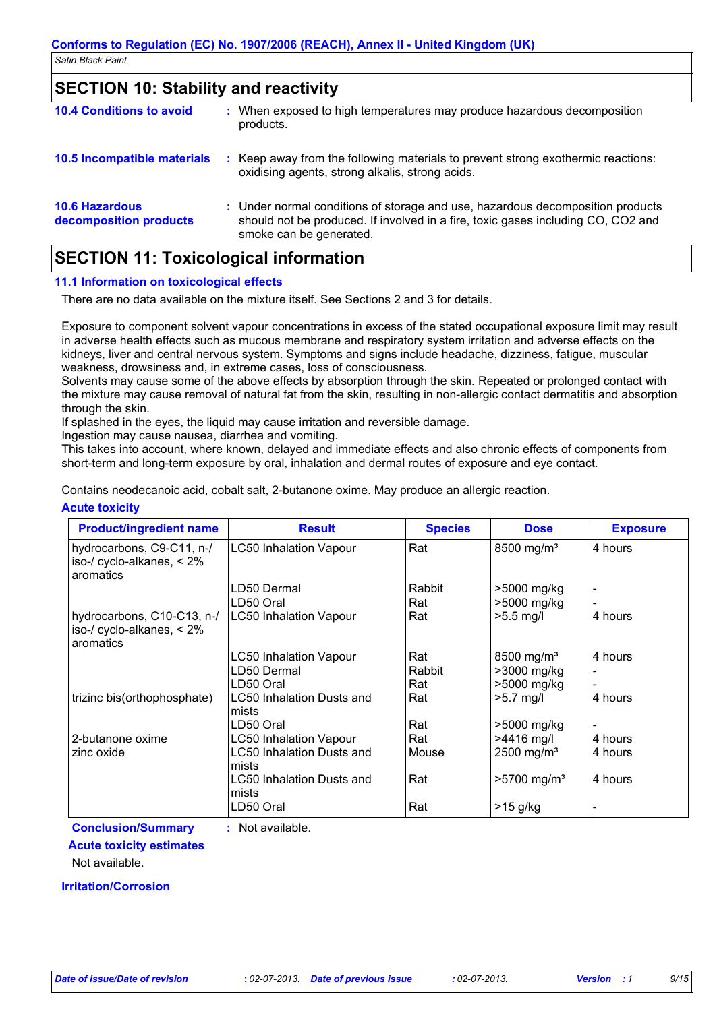### **SECTION 10: Stability and reactivity**

| <b>10.4 Conditions to avoid</b>                 | When exposed to high temperatures may produce hazardous decomposition<br>products.                                                                                                            |
|-------------------------------------------------|-----------------------------------------------------------------------------------------------------------------------------------------------------------------------------------------------|
| 10.5 Incompatible materials                     | Keep away from the following materials to prevent strong exothermic reactions:<br>oxidising agents, strong alkalis, strong acids.                                                             |
| <b>10.6 Hazardous</b><br>decomposition products | : Under normal conditions of storage and use, hazardous decomposition products<br>should not be produced. If involved in a fire, toxic gases including CO, CO2 and<br>smoke can be generated. |

## **SECTION 11: Toxicological information**

#### **11.1 Information on toxicological effects**

There are no data available on the mixture itself. See Sections 2 and 3 for details.

Exposure to component solvent vapour concentrations in excess of the stated occupational exposure limit may result in adverse health effects such as mucous membrane and respiratory system irritation and adverse effects on the kidneys, liver and central nervous system. Symptoms and signs include headache, dizziness, fatigue, muscular weakness, drowsiness and, in extreme cases, loss of consciousness.

Solvents may cause some of the above effects by absorption through the skin. Repeated or prolonged contact with the mixture may cause removal of natural fat from the skin, resulting in non-allergic contact dermatitis and absorption through the skin.

If splashed in the eyes, the liquid may cause irritation and reversible damage.

Ingestion may cause nausea, diarrhea and vomiting.

This takes into account, where known, delayed and immediate effects and also chronic effects of components from short-term and long-term exposure by oral, inhalation and dermal routes of exposure and eye contact.

Contains neodecanoic acid, cobalt salt, 2-butanone oxime. May produce an allergic reaction.

#### **Acute toxicity**

| <b>Product/ingredient name</b>                                          | <b>Result</b>                             | <b>Species</b> | <b>Dose</b>               | <b>Exposure</b> |
|-------------------------------------------------------------------------|-------------------------------------------|----------------|---------------------------|-----------------|
| hydrocarbons, C9-C11, n-/<br>iso-/ cyclo-alkanes, $< 2\%$<br>aromatics  | <b>LC50 Inhalation Vapour</b>             | Rat            | 8500 mg/m <sup>3</sup>    | 4 hours         |
|                                                                         | LD50 Dermal                               | Rabbit         | >5000 mg/kg               |                 |
|                                                                         | LD50 Oral                                 | Rat            | >5000 mg/kg               |                 |
| hydrocarbons, C10-C13, n-/<br>iso-/ cyclo-alkanes, $< 2\%$<br>aromatics | <b>LC50 Inhalation Vapour</b>             | Rat            | $>5.5$ mg/l               | 4 hours         |
|                                                                         | <b>LC50 Inhalation Vapour</b>             | Rat            | 8500 mg/m <sup>3</sup>    | 4 hours         |
|                                                                         | LD50 Dermal                               | Rabbit         | >3000 mg/kg               |                 |
|                                                                         | LD50 Oral                                 | Rat            | >5000 mg/kg               |                 |
| trizinc bis(orthophosphate)                                             | LC50 Inhalation Dusts and<br>mists        | Rat            | $>5.7$ mg/l               | 4 hours         |
|                                                                         | LD50 Oral                                 | Rat            | >5000 mg/kg               |                 |
| 2-butanone oxime                                                        | <b>LC50 Inhalation Vapour</b>             | Rat            | >4416 mg/l                | 4 hours         |
| zinc oxide                                                              | LC50 Inhalation Dusts and<br>mists        | Mouse          | $2500$ mg/m <sup>3</sup>  | 4 hours         |
|                                                                         | <b>LC50 Inhalation Dusts and</b><br>mists | Rat            | $>5700$ mg/m <sup>3</sup> | 4 hours         |
|                                                                         | LD50 Oral                                 | Rat            | $>15$ g/kg                |                 |

**Conclusion/Summary :** Not available.

#### **Acute toxicity estimates**

Not available.

#### **Irritation/Corrosion**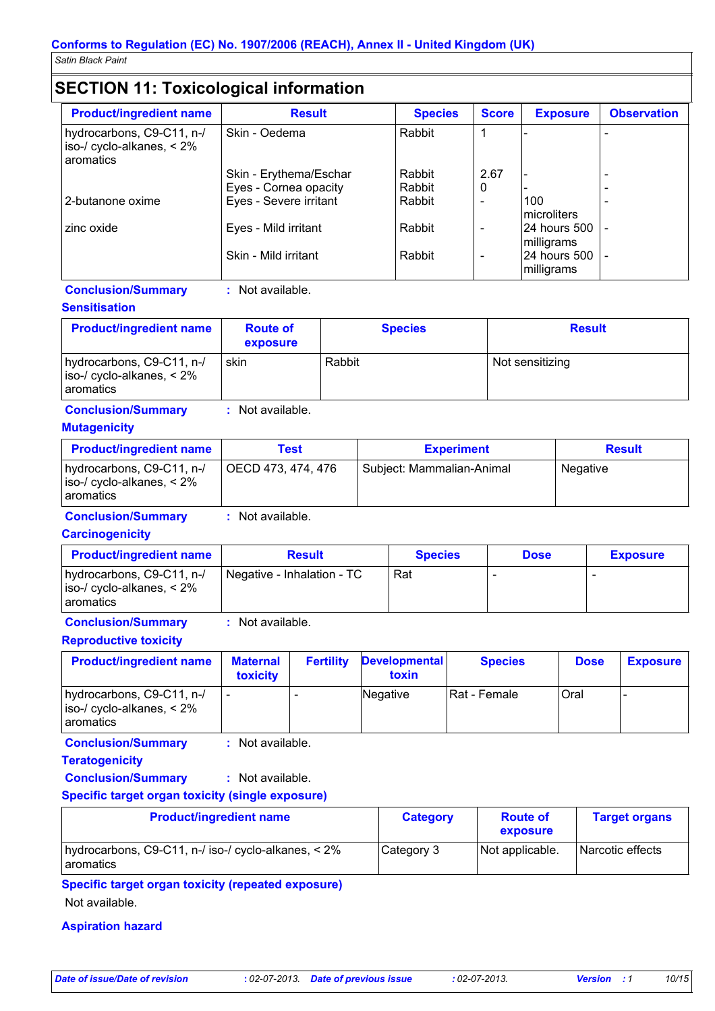## **SECTION 11: Toxicological information**

| <b>Product/ingredient name</b>                                                | <b>Result</b>          | <b>Species</b> | <b>Score</b> | <b>Exposure</b>            | <b>Observation</b> |
|-------------------------------------------------------------------------------|------------------------|----------------|--------------|----------------------------|--------------------|
| hydrocarbons, C9-C11, n-/<br>$\vert$ iso-/ cyclo-alkanes, < 2%<br>l aromatics | Skin - Oedema          | Rabbit         |              |                            |                    |
|                                                                               | Skin - Erythema/Eschar | Rabbit         | 2.67         |                            |                    |
|                                                                               | Eyes - Cornea opacity  | Rabbit         | 0            |                            |                    |
| 12-butanone oxime                                                             | Eyes - Severe irritant | Rabbit         |              | 100                        |                    |
|                                                                               |                        |                |              | Imicroliters               |                    |
| zinc oxide                                                                    | Eyes - Mild irritant   | Rabbit         |              | 24 hours 500               |                    |
|                                                                               |                        |                |              | milligrams                 |                    |
|                                                                               | Skin - Mild irritant   | Rabbit         |              | 24 hours 500<br>milligrams |                    |

#### **Conclusion/Summary :** Not available.

#### **Sensitisation**

| <b>Product/ingredient name</b>                                                       | <b>Route of</b><br>exposure | <b>Species</b> | <b>Result</b>   |
|--------------------------------------------------------------------------------------|-----------------------------|----------------|-----------------|
| hydrocarbons, C9-C11, n-/<br>$\vert$ iso-/ cyclo-alkanes, < 2%<br><b>l</b> aromatics | skin                        | Rabbit         | Not sensitizing |

#### **Conclusion/Summary :** Not available.

#### **Mutagenicity**

| <b>Product/ingredient name</b>                                                  | Test               | <b>Experiment</b>         | <b>Result</b> |
|---------------------------------------------------------------------------------|--------------------|---------------------------|---------------|
| hydrocarbons, C9-C11, n-/<br>$ $ iso-/ cyclo-alkanes, < 2%<br><b>Laromatics</b> | OECD 473, 474, 476 | Subject: Mammalian-Animal | Negative      |

**Conclusion/Summary :** Not available.

#### **Carcinogenicity**

| <b>Product/ingredient name</b>                                                | <b>Result</b>              | <b>Species</b> | <b>Dose</b> | <b>Exposure</b> |
|-------------------------------------------------------------------------------|----------------------------|----------------|-------------|-----------------|
| hydrocarbons, C9-C11, n-/<br>$\vert$ iso-/ cyclo-alkanes, < 2%<br>I aromatics | Negative - Inhalation - TC | Rat            |             |                 |

**Conclusion/Summary :** Not available.

#### **Reproductive toxicity**

| <b>Product/ingredient name</b>                                                | <b>Maternal</b><br><b>toxicity</b> | <b>Fertility</b> | <b>Developmental</b><br>toxin | <b>Species</b> | <b>Dose</b> | <b>Exposure</b> |
|-------------------------------------------------------------------------------|------------------------------------|------------------|-------------------------------|----------------|-------------|-----------------|
| hydrocarbons, C9-C11, n-/<br>$\vert$ iso-/ cyclo-alkanes, < 2%<br>I aromatics |                                    |                  | Negative                      | IRat - Female  | <b>Oral</b> |                 |

**Conclusion/Summary :** Not available.

**Teratogenicity**

**Conclusion/Summary :** Not available.

#### **Specific target organ toxicity (single exposure)**

| <b>Product/ingredient name</b>                                            | <b>Category</b> | <b>Route of</b><br>exposure | <b>Target organs</b> |
|---------------------------------------------------------------------------|-----------------|-----------------------------|----------------------|
| hydrocarbons, C9-C11, n-/ iso-/ cyclo-alkanes, < 2%<br><b>l</b> aromatics | Category 3      | Not applicable.             | Narcotic effects     |

**Specific target organ toxicity (repeated exposure)** Not available.

## **Aspiration hazard**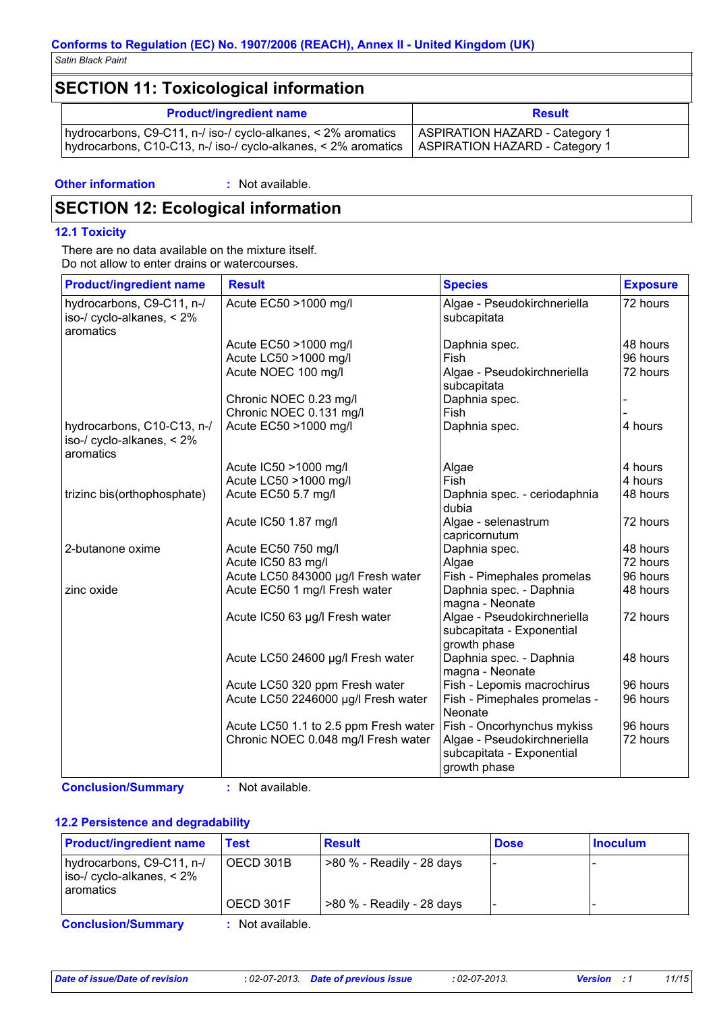## **SECTION 11: Toxicological information**

| <b>Product/ingredient name</b>                                 | <b>Result</b>                         |
|----------------------------------------------------------------|---------------------------------------|
| hydrocarbons, C9-C11, n-/ iso-/ cyclo-alkanes, < 2% aromatics  | <b>ASPIRATION HAZARD - Category 1</b> |
| hydrocarbons, C10-C13, n-/ iso-/ cyclo-alkanes, < 2% aromatics | ASPIRATION HAZARD - Category 1        |

**Other information :**

: Not available.

## **SECTION 12: Ecological information**

#### **12.1 Toxicity**

There are no data available on the mixture itself. Do not allow to enter drains or watercourses.

| <b>Product/ingredient name</b>                                          | <b>Result</b>                         | <b>Species</b>                                                           | <b>Exposure</b> |
|-------------------------------------------------------------------------|---------------------------------------|--------------------------------------------------------------------------|-----------------|
| hydrocarbons, C9-C11, n-/<br>iso-/ cyclo-alkanes, $< 2\%$<br>aromatics  | Acute EC50 >1000 mg/l                 | Algae - Pseudokirchneriella<br>subcapitata                               | 72 hours        |
|                                                                         | Acute EC50 >1000 mg/l                 | Daphnia spec.                                                            | 48 hours        |
|                                                                         | Acute LC50 >1000 mg/l                 | Fish                                                                     | 96 hours        |
|                                                                         | Acute NOEC 100 mg/l                   | Algae - Pseudokirchneriella<br>subcapitata                               | 72 hours        |
|                                                                         | Chronic NOEC 0.23 mg/l                | Daphnia spec.                                                            |                 |
|                                                                         | Chronic NOEC 0.131 mg/l               | Fish                                                                     |                 |
| hydrocarbons, C10-C13, n-/<br>iso-/ cyclo-alkanes, $< 2\%$<br>aromatics | Acute EC50 >1000 mg/l                 | Daphnia spec.                                                            | 4 hours         |
|                                                                         | Acute IC50 >1000 mg/l                 | Algae                                                                    | 4 hours         |
|                                                                         | Acute LC50 >1000 mg/l                 | Fish                                                                     | 4 hours         |
| trizinc bis(orthophosphate)                                             | Acute EC50 5.7 mg/l                   | Daphnia spec. - ceriodaphnia<br>dubia                                    | 48 hours        |
|                                                                         | Acute IC50 1.87 mg/l                  | Algae - selenastrum<br>capricornutum                                     | 72 hours        |
| 2-butanone oxime                                                        | Acute EC50 750 mg/l                   | Daphnia spec.                                                            | 48 hours        |
|                                                                         | Acute IC50 83 mg/l                    | Algae                                                                    | 72 hours        |
|                                                                         | Acute LC50 843000 µg/l Fresh water    | Fish - Pimephales promelas                                               | 96 hours        |
| zinc oxide                                                              | Acute EC50 1 mg/l Fresh water         | Daphnia spec. - Daphnia<br>magna - Neonate                               | 48 hours        |
|                                                                         | Acute IC50 63 µg/l Fresh water        | Algae - Pseudokirchneriella<br>subcapitata - Exponential<br>growth phase | 72 hours        |
|                                                                         | Acute LC50 24600 µg/l Fresh water     | Daphnia spec. - Daphnia<br>magna - Neonate                               | 48 hours        |
|                                                                         | Acute LC50 320 ppm Fresh water        | Fish - Lepomis macrochirus                                               | 96 hours        |
|                                                                         | Acute LC50 2246000 µg/l Fresh water   | Fish - Pimephales promelas -<br>Neonate                                  | 96 hours        |
|                                                                         | Acute LC50 1.1 to 2.5 ppm Fresh water | <b>Fish - Oncorhynchus mykiss</b>                                        | 96 hours        |
|                                                                         | Chronic NOEC 0.048 mg/l Fresh water   | Algae - Pseudokirchneriella<br>subcapitata - Exponential<br>growth phase | 72 hours        |

**Conclusion/Summary :** Not available.

#### **12.2 Persistence and degradability**

| <b>Product/ingredient name</b>                                                           | Test                 | <b>Result</b>                   | <b>Dose</b> | l Inoculum |
|------------------------------------------------------------------------------------------|----------------------|---------------------------------|-------------|------------|
| hydrocarbons, C9-C11, n-/<br>$\vert$ iso-/ cyclo-alkanes, $\lt 2\%$<br><b>Laromatics</b> | OECD 301B            | $\geq 80$ % - Readily - 28 days |             |            |
|                                                                                          | OECD 301F            | >80 % - Readily - 28 days       |             |            |
| Canalus Laut Cumman                                                                      | لملماه المربم فملطات |                                 |             |            |

**Conclusion/Summary :** Not available.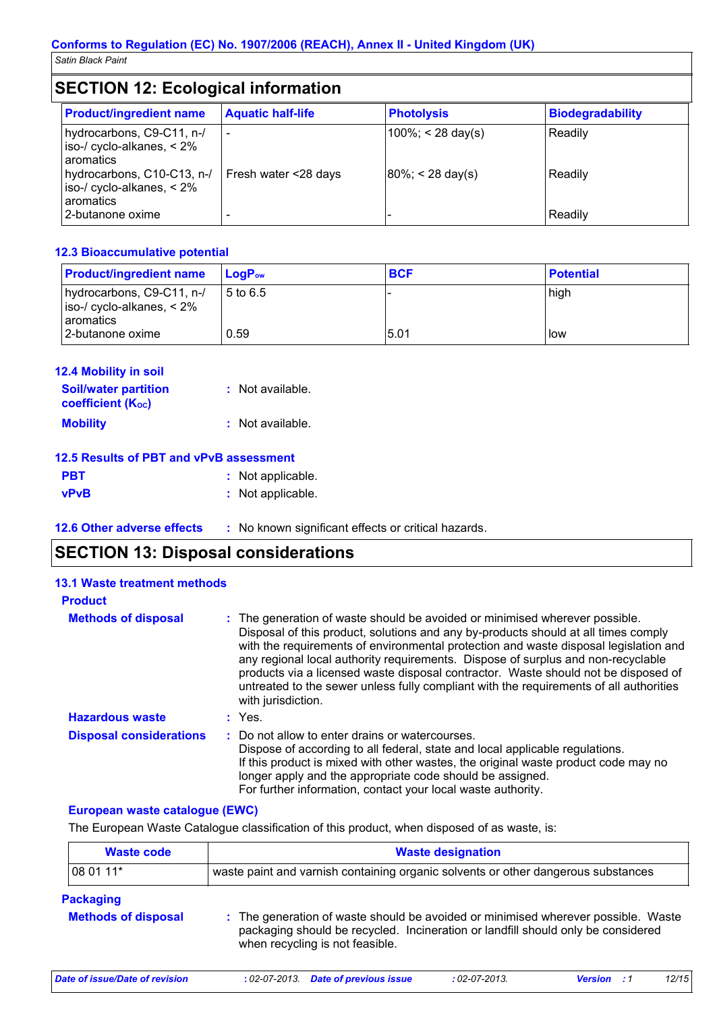## **SECTION 12: Ecological information**

| <b>Product/ingredient name</b>                                                                                                                    | <b>Aquatic half-life</b> | <b>Photolysis</b>                             | <b>Biodegradability</b> |
|---------------------------------------------------------------------------------------------------------------------------------------------------|--------------------------|-----------------------------------------------|-------------------------|
| hydrocarbons, C9-C11, n-/<br>iso-/ cyclo-alkanes, $< 2\%$<br>aromatics<br>hydrocarbons, C10-C13, n-/<br>iso-/ cyclo-alkanes, $< 2\%$<br>aromatics | Fresh water <28 days     | $100\%$ ; < 28 day(s)<br>$80\%$ ; < 28 day(s) | Readily<br>Readily      |
| 2-butanone oxime                                                                                                                                  |                          |                                               | Readily                 |

#### **12.3 Bioaccumulative potential**

| <b>Product/ingredient name</b>                                       | $\mathsf{LogP}_\mathsf{ow}$ | <b>BCF</b> | <b>Potential</b> |
|----------------------------------------------------------------------|-----------------------------|------------|------------------|
| hydrocarbons, C9-C11, n-/<br>$\vert$ iso-/ cyclo-alkanes, $\leq 2\%$ | 5 to 6.5                    |            | high             |
| l aromatics<br>I2-butanone oxime                                     | 0.59                        | 5.01       | <b>l</b> ow      |

| <b>12.4 Mobility in soil</b><br><b>Soil/water partition</b><br><b>coefficient (Koc)</b> | : Not available. |  |
|-----------------------------------------------------------------------------------------|------------------|--|
| <b>Mobility</b>                                                                         | : Not available. |  |
| 12.5 Results of PBT and vPvB assessment                                                 |                  |  |

|             | 12.5 Results of PBT and VPVB assessment |
|-------------|-----------------------------------------|
| <b>PBT</b>  | : Not applicable.                       |
| <b>vPvB</b> | : Not applicable.                       |

**12.6 Other adverse effects** : No known significant effects or critical hazards.

## **SECTION 13: Disposal considerations**

| <b>13.1 Waste treatment methods</b> |                                                                                                                                                                                                                                                                                                                                                                                                                                                                                                                                                     |
|-------------------------------------|-----------------------------------------------------------------------------------------------------------------------------------------------------------------------------------------------------------------------------------------------------------------------------------------------------------------------------------------------------------------------------------------------------------------------------------------------------------------------------------------------------------------------------------------------------|
| <b>Product</b>                      |                                                                                                                                                                                                                                                                                                                                                                                                                                                                                                                                                     |
| <b>Methods of disposal</b>          | : The generation of waste should be avoided or minimised wherever possible.<br>Disposal of this product, solutions and any by-products should at all times comply<br>with the requirements of environmental protection and waste disposal legislation and<br>any regional local authority requirements. Dispose of surplus and non-recyclable<br>products via a licensed waste disposal contractor. Waste should not be disposed of<br>untreated to the sewer unless fully compliant with the requirements of all authorities<br>with jurisdiction. |
| <b>Hazardous waste</b>              | $:$ Yes.                                                                                                                                                                                                                                                                                                                                                                                                                                                                                                                                            |
| <b>Disposal considerations</b>      | : Do not allow to enter drains or watercourses.<br>Dispose of according to all federal, state and local applicable regulations.<br>If this product is mixed with other wastes, the original waste product code may no<br>longer apply and the appropriate code should be assigned.<br>For further information, contact your local waste authority.                                                                                                                                                                                                  |

#### **European waste catalogue (EWC)**

The European Waste Catalogue classification of this product, when disposed of as waste, is:

| <b>Waste code</b> | <b>Waste designation</b>                                                          |
|-------------------|-----------------------------------------------------------------------------------|
| $ 080111*$        | waste paint and varnish containing organic solvents or other dangerous substances |

#### **Packaging**

| <b>Methods of disposal</b> | : The generation of waste should be avoided or minimised wherever possible. Waste |
|----------------------------|-----------------------------------------------------------------------------------|
|                            | packaging should be recycled. Incineration or landfill should only be considered  |
|                            | when recycling is not feasible.                                                   |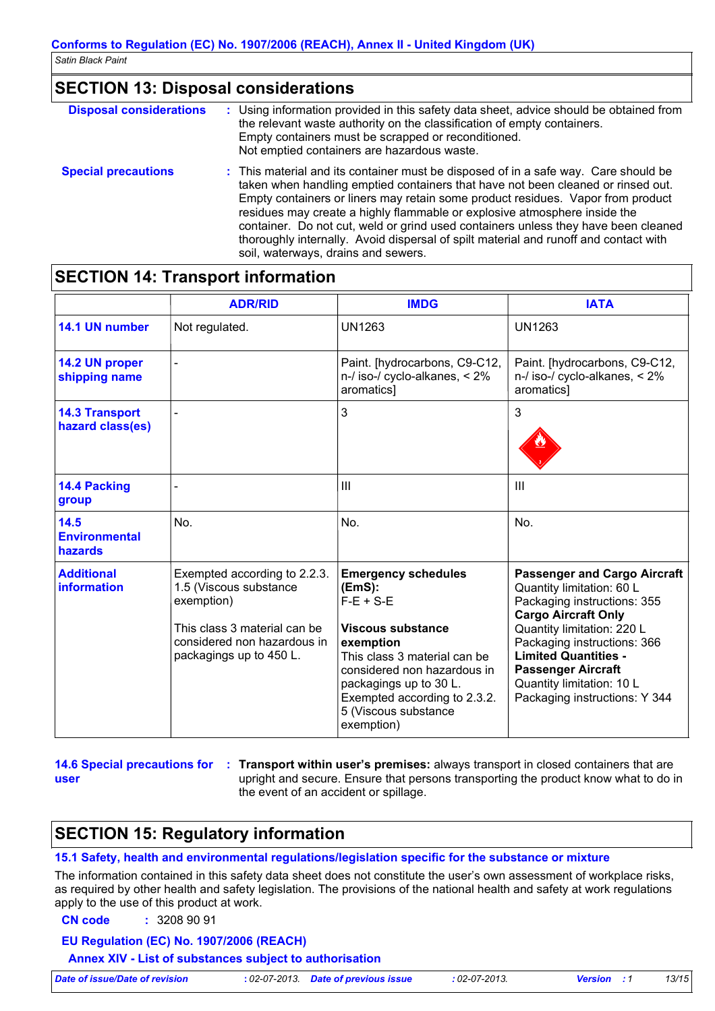### **SECTION 13: Disposal considerations**

| <b>Disposal considerations</b><br>: Using information provided in this safety data sheet, advice should be obtained from<br>the relevant waste authority on the classification of empty containers.<br>Empty containers must be scrapped or reconditioned.<br>Not emptied containers are hazardous waste. |                                                                                                                                                                                                                                                                                                                                                                                                                                                                                                                                                              |  |  |
|-----------------------------------------------------------------------------------------------------------------------------------------------------------------------------------------------------------------------------------------------------------------------------------------------------------|--------------------------------------------------------------------------------------------------------------------------------------------------------------------------------------------------------------------------------------------------------------------------------------------------------------------------------------------------------------------------------------------------------------------------------------------------------------------------------------------------------------------------------------------------------------|--|--|
| <b>Special precautions</b>                                                                                                                                                                                                                                                                                | : This material and its container must be disposed of in a safe way. Care should be<br>taken when handling emptied containers that have not been cleaned or rinsed out.<br>Empty containers or liners may retain some product residues. Vapor from product<br>residues may create a highly flammable or explosive atmosphere inside the<br>container. Do not cut, weld or grind used containers unless they have been cleaned<br>thoroughly internally. Avoid dispersal of spilt material and runoff and contact with<br>soil, waterways, drains and sewers. |  |  |

### **SECTION 14: Transport information**

|                                           | <b>ADR/RID</b>                                                                                                                                                 | <b>IMDG</b>                                                                                                                                                                                                                                          | <b>IATA</b>                                                                                                                                                                                                                                                                                                          |
|-------------------------------------------|----------------------------------------------------------------------------------------------------------------------------------------------------------------|------------------------------------------------------------------------------------------------------------------------------------------------------------------------------------------------------------------------------------------------------|----------------------------------------------------------------------------------------------------------------------------------------------------------------------------------------------------------------------------------------------------------------------------------------------------------------------|
| 14.1 UN number                            | Not regulated.                                                                                                                                                 | <b>UN1263</b>                                                                                                                                                                                                                                        | <b>UN1263</b>                                                                                                                                                                                                                                                                                                        |
| 14.2 UN proper<br>shipping name           |                                                                                                                                                                | Paint. [hydrocarbons, C9-C12,<br>$n$ -/ iso-/ cyclo-alkanes, $\lt 2\%$<br>aromatics]                                                                                                                                                                 | Paint. [hydrocarbons, C9-C12,<br>$n$ -/ iso-/ cyclo-alkanes, $<$ 2%<br>aromatics]                                                                                                                                                                                                                                    |
| <b>14.3 Transport</b><br>hazard class(es) |                                                                                                                                                                | 3                                                                                                                                                                                                                                                    | 3                                                                                                                                                                                                                                                                                                                    |
| 14.4 Packing<br>group                     |                                                                                                                                                                | III                                                                                                                                                                                                                                                  | $\mathbf{III}$                                                                                                                                                                                                                                                                                                       |
| 14.5<br><b>Environmental</b><br>hazards   | No.                                                                                                                                                            | No.                                                                                                                                                                                                                                                  | No.                                                                                                                                                                                                                                                                                                                  |
| <b>Additional</b><br><b>information</b>   | Exempted according to 2.2.3.<br>1.5 (Viscous substance<br>exemption)<br>This class 3 material can be<br>considered non hazardous in<br>packagings up to 450 L. | <b>Emergency schedules</b><br>(EmS):<br>$F-E + S-E$<br>Viscous substance<br>exemption<br>This class 3 material can be<br>considered non hazardous in<br>packagings up to 30 L.<br>Exempted according to 2.3.2.<br>5 (Viscous substance<br>exemption) | <b>Passenger and Cargo Aircraft</b><br>Quantity limitation: 60 L<br>Packaging instructions: 355<br><b>Cargo Aircraft Only</b><br>Quantity limitation: 220 L<br>Packaging instructions: 366<br><b>Limited Quantities -</b><br><b>Passenger Aircraft</b><br>Quantity limitation: 10 L<br>Packaging instructions: Y 344 |

**user**

**14.6 Special precautions for : Transport within user's premises:** always transport in closed containers that are upright and secure. Ensure that persons transporting the product know what to do in the event of an accident or spillage.

### **SECTION 15: Regulatory information**

**15.1 Safety, health and environmental regulations/legislation specific for the substance or mixture**

The information contained in this safety data sheet does not constitute the user's own assessment of workplace risks, as required by other health and safety legislation. The provisions of the national health and safety at work regulations apply to the use of this product at work.

**CN code :** 3208 90 91

#### **EU Regulation (EC) No. 1907/2006 (REACH)**

**Annex XIV - List of substances subject to authorisation**

*Date of issue/Date of revision* **:** *02-07-2013. Date of previous issue : 02-07-2013. Version : 1 13/15*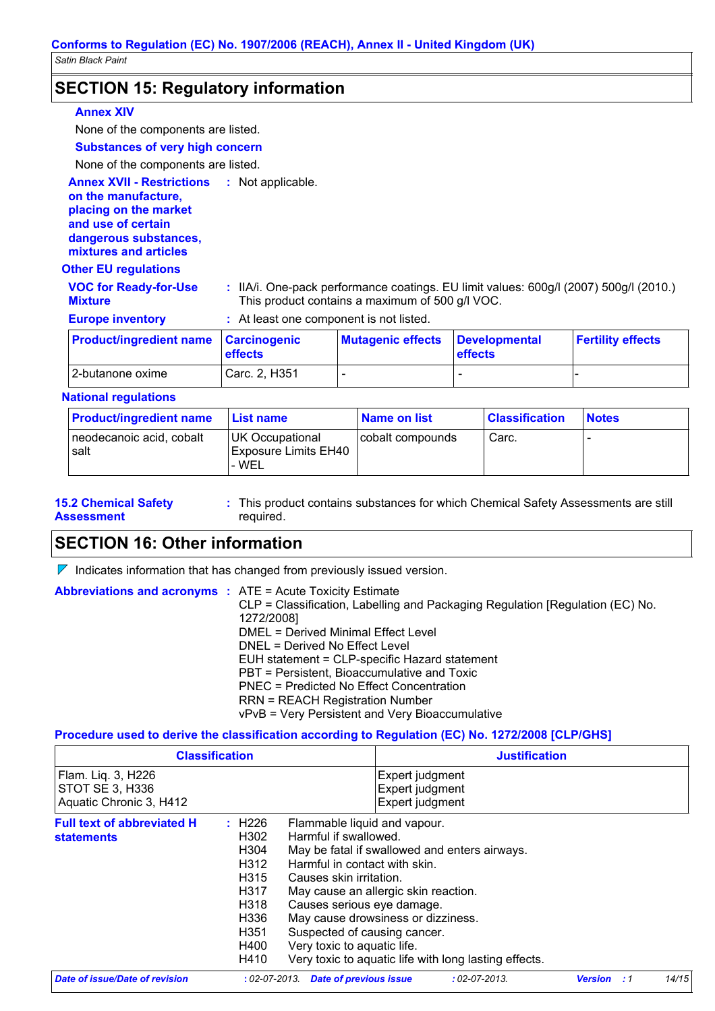### **SECTION 15: Regulatory information**

#### **Annex XIV**

None of the components are listed.

### **Substances of very high concern**

None of the components are listed.

**Annex XVII - Restrictions : Not applicable.** 

**on the manufacture, placing on the market and use of certain dangerous substances, mixtures and articles**

#### **Other EU regulations**

| <b>VOC for Ready-for-Use</b><br><b>Mixture</b> | : IIA/i. One-pack performance coatings. EU limit values: 600g/l (2007) 500g/l (2010.)<br>This product contains a maximum of 500 g/l VOC. |                                 |                |                          |  |
|------------------------------------------------|------------------------------------------------------------------------------------------------------------------------------------------|---------------------------------|----------------|--------------------------|--|
| <b>Europe inventory</b>                        | : At least one component is not listed.                                                                                                  |                                 |                |                          |  |
| <b>Product/ingredient name Carcinogenic</b>    | <b>effects</b>                                                                                                                           | Mutagenic effects Developmental | <b>effects</b> | <b>Fertility effects</b> |  |

#### **National regulations**

| <b>Product/ingredient name</b>    | l List name l                                      | Name on list     | <b>Classification</b> | <b>Notes</b> |
|-----------------------------------|----------------------------------------------------|------------------|-----------------------|--------------|
| neodecanoic acid, cobalt<br>⊩salt | UK Occupational<br>Exposure Limits EH40<br>' - WEL | cobalt compounds | Carc.                 | -            |

- **15.2 Chemical Safety Assessment**
- This product contains substances for which Chemical Safety Assessments are still **:** required.

### **SECTION 16: Other information**

 $\nabla$  Indicates information that has changed from previously issued version.

2-butanone oxime  $\vert$  Carc. 2, H351  $\vert$  -  $\vert$  -

| <b>Abbreviations and acronyms : ATE = Acute Toxicity Estimate</b> |                                                                                  |
|-------------------------------------------------------------------|----------------------------------------------------------------------------------|
|                                                                   | $CLP = Classification$ , Labelling and Packaging Regulation [Regulation (EC) No. |
|                                                                   | 1272/2008]                                                                       |
|                                                                   | DMEL = Derived Minimal Effect Level                                              |
|                                                                   | DNEL = Derived No Effect Level                                                   |
|                                                                   | EUH statement = CLP-specific Hazard statement                                    |
|                                                                   | PBT = Persistent, Bioaccumulative and Toxic                                      |
|                                                                   | PNEC = Predicted No Effect Concentration                                         |
|                                                                   | <b>RRN = REACH Registration Number</b>                                           |
|                                                                   | vPvB = Very Persistent and Very Bioaccumulative                                  |

#### **Procedure used to derive the classification according to Regulation (EC) No. 1272/2008 [CLP/GHS]**

| <b>Classification</b>                                            |                                                                                                                                 | <b>Justification</b>                                                                                                                                                                                                                                                                                                                          |                                                       |                                                       |                |     |       |
|------------------------------------------------------------------|---------------------------------------------------------------------------------------------------------------------------------|-----------------------------------------------------------------------------------------------------------------------------------------------------------------------------------------------------------------------------------------------------------------------------------------------------------------------------------------------|-------------------------------------------------------|-------------------------------------------------------|----------------|-----|-------|
| Flam. Liq. 3, H226<br>STOT SE 3, H336<br>Aquatic Chronic 3, H412 |                                                                                                                                 |                                                                                                                                                                                                                                                                                                                                               | Expert judgment<br>Expert judgment<br>Expert judgment |                                                       |                |     |       |
| <b>Full text of abbreviated H</b><br><b>statements</b>           | $\div$ H226<br>H <sub>302</sub><br>H304<br>H312<br>H315<br>H317<br>H318<br>H <sub>336</sub><br>H <sub>351</sub><br>H400<br>H410 | Flammable liquid and vapour.<br>Harmful if swallowed.<br>May be fatal if swallowed and enters airways.<br>Harmful in contact with skin.<br>Causes skin irritation.<br>May cause an allergic skin reaction.<br>Causes serious eye damage.<br>May cause drowsiness or dizziness.<br>Suspected of causing cancer.<br>Very toxic to aquatic life. |                                                       | Very toxic to aquatic life with long lasting effects. |                |     |       |
| Date of issue/Date of revision                                   | $:02$ -07-2013.                                                                                                                 | <b>Date of previous issue</b>                                                                                                                                                                                                                                                                                                                 |                                                       | $: 02 - 07 - 2013.$                                   | <b>Version</b> | - 1 | 14/15 |